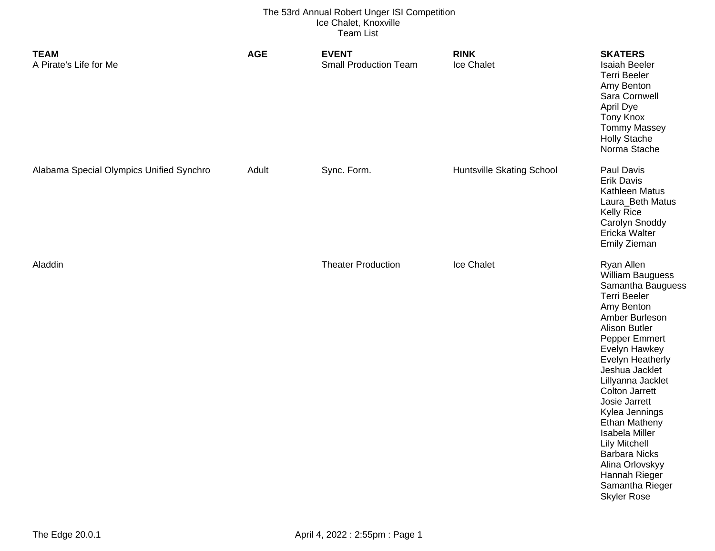| <b>TEAM</b><br>A Pirate's Life for Me    | <b>AGE</b> | <b>EVENT</b><br><b>Small Production Team</b> | <b>RINK</b><br>Ice Chalet        | <b>SKATERS</b><br><b>Isaiah Beeler</b><br><b>Terri Beeler</b><br>Amy Benton<br>Sara Cornwell<br>April Dye<br><b>Tony Knox</b><br><b>Tommy Massey</b><br><b>Holly Stache</b><br>Norma Stache                                                                                                                                                                                                                                                                               |
|------------------------------------------|------------|----------------------------------------------|----------------------------------|---------------------------------------------------------------------------------------------------------------------------------------------------------------------------------------------------------------------------------------------------------------------------------------------------------------------------------------------------------------------------------------------------------------------------------------------------------------------------|
| Alabama Special Olympics Unified Synchro | Adult      | Sync. Form.                                  | <b>Huntsville Skating School</b> | Paul Davis<br><b>Erik Davis</b><br>Kathleen Matus<br>Laura_Beth Matus<br>Kelly Rice<br>Carolyn Snoddy<br>Ericka Walter<br>Emily Zieman                                                                                                                                                                                                                                                                                                                                    |
| Aladdin                                  |            | <b>Theater Production</b>                    | Ice Chalet                       | Ryan Allen<br>William Bauguess<br>Samantha Bauguess<br><b>Terri Beeler</b><br>Amy Benton<br>Amber Burleson<br><b>Alison Butler</b><br>Pepper Emmert<br>Evelyn Hawkey<br><b>Evelyn Heatherly</b><br>Jeshua Jacklet<br>Lillyanna Jacklet<br><b>Colton Jarrett</b><br>Josie Jarrett<br>Kylea Jennings<br><b>Ethan Matheny</b><br>Isabela Miller<br><b>Lily Mitchell</b><br><b>Barbara Nicks</b><br>Alina Orlovskyy<br>Hannah Rieger<br>Samantha Rieger<br><b>Skyler Rose</b> |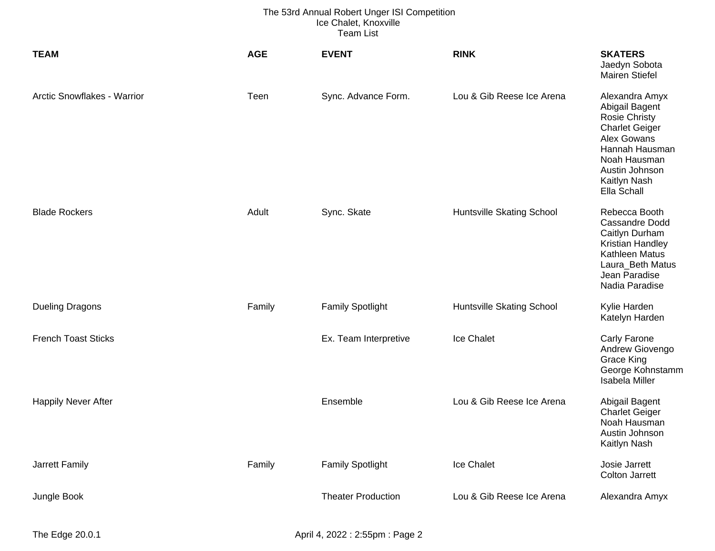| <b>TEAM</b>                        | <b>AGE</b> | <b>EVENT</b>              | <b>RINK</b>                      | <b>SKATERS</b><br>Jaedyn Sobota<br><b>Mairen Stiefel</b>                                                                                                                            |
|------------------------------------|------------|---------------------------|----------------------------------|-------------------------------------------------------------------------------------------------------------------------------------------------------------------------------------|
| <b>Arctic Snowflakes - Warrior</b> | Teen       | Sync. Advance Form.       | Lou & Gib Reese Ice Arena        | Alexandra Amyx<br>Abigail Bagent<br><b>Rosie Christy</b><br><b>Charlet Geiger</b><br>Alex Gowans<br>Hannah Hausman<br>Noah Hausman<br>Austin Johnson<br>Kaitlyn Nash<br>Ella Schall |
| <b>Blade Rockers</b>               | Adult      | Sync. Skate               | <b>Huntsville Skating School</b> | Rebecca Booth<br><b>Cassandre Dodd</b><br>Caitlyn Durham<br>Kristian Handley<br>Kathleen Matus<br>Laura_Beth Matus<br>Jean Paradise<br>Nadia Paradise                               |
| <b>Dueling Dragons</b>             | Family     | <b>Family Spotlight</b>   | <b>Huntsville Skating School</b> | Kylie Harden<br>Katelyn Harden                                                                                                                                                      |
| <b>French Toast Sticks</b>         |            | Ex. Team Interpretive     | Ice Chalet                       | Carly Farone<br>Andrew Giovengo<br><b>Grace King</b><br>George Kohnstamm<br>Isabela Miller                                                                                          |
| <b>Happily Never After</b>         |            | Ensemble                  | Lou & Gib Reese Ice Arena        | Abigail Bagent<br><b>Charlet Geiger</b><br>Noah Hausman<br>Austin Johnson<br>Kaitlyn Nash                                                                                           |
| Jarrett Family                     | Family     | <b>Family Spotlight</b>   | Ice Chalet                       | Josie Jarrett<br><b>Colton Jarrett</b>                                                                                                                                              |
| Jungle Book                        |            | <b>Theater Production</b> | Lou & Gib Reese Ice Arena        | Alexandra Amyx                                                                                                                                                                      |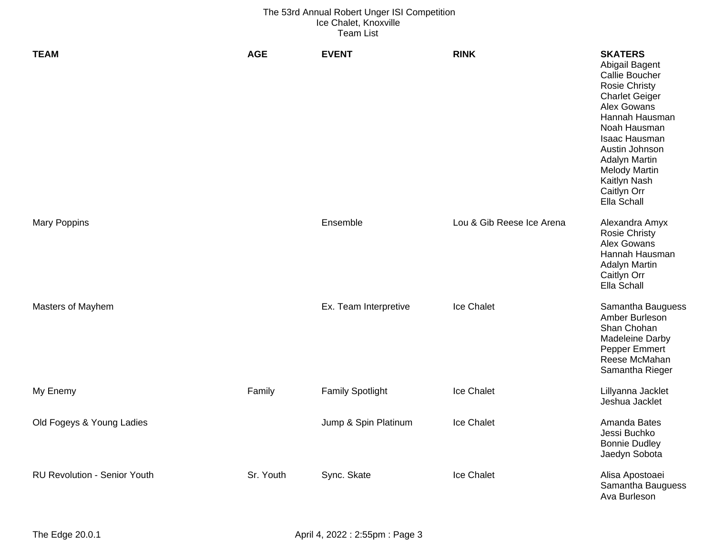| <b>TEAM</b>                         | <b>AGE</b> | <b>EVENT</b>            | <b>RINK</b>               | <b>SKATERS</b><br>Abigail Bagent<br>Callie Boucher<br><b>Rosie Christy</b><br><b>Charlet Geiger</b><br>Alex Gowans<br>Hannah Hausman<br>Noah Hausman<br>Isaac Hausman<br>Austin Johnson<br>Adalyn Martin<br><b>Melody Martin</b><br>Kaitlyn Nash<br>Caitlyn Orr<br>Ella Schall |
|-------------------------------------|------------|-------------------------|---------------------------|--------------------------------------------------------------------------------------------------------------------------------------------------------------------------------------------------------------------------------------------------------------------------------|
| <b>Mary Poppins</b>                 |            | Ensemble                | Lou & Gib Reese Ice Arena | Alexandra Amyx<br><b>Rosie Christy</b><br>Alex Gowans<br>Hannah Hausman<br><b>Adalyn Martin</b><br>Caitlyn Orr<br>Ella Schall                                                                                                                                                  |
| Masters of Mayhem                   |            | Ex. Team Interpretive   | Ice Chalet                | Samantha Bauguess<br>Amber Burleson<br>Shan Chohan<br>Madeleine Darby<br>Pepper Emmert<br>Reese McMahan<br>Samantha Rieger                                                                                                                                                     |
| My Enemy                            | Family     | <b>Family Spotlight</b> | Ice Chalet                | Lillyanna Jacklet<br>Jeshua Jacklet                                                                                                                                                                                                                                            |
| Old Fogeys & Young Ladies           |            | Jump & Spin Platinum    | Ice Chalet                | Amanda Bates<br>Jessi Buchko<br><b>Bonnie Dudley</b><br>Jaedyn Sobota                                                                                                                                                                                                          |
| <b>RU Revolution - Senior Youth</b> | Sr. Youth  | Sync. Skate             | Ice Chalet                | Alisa Apostoaei<br>Samantha Bauguess<br>Ava Burleson                                                                                                                                                                                                                           |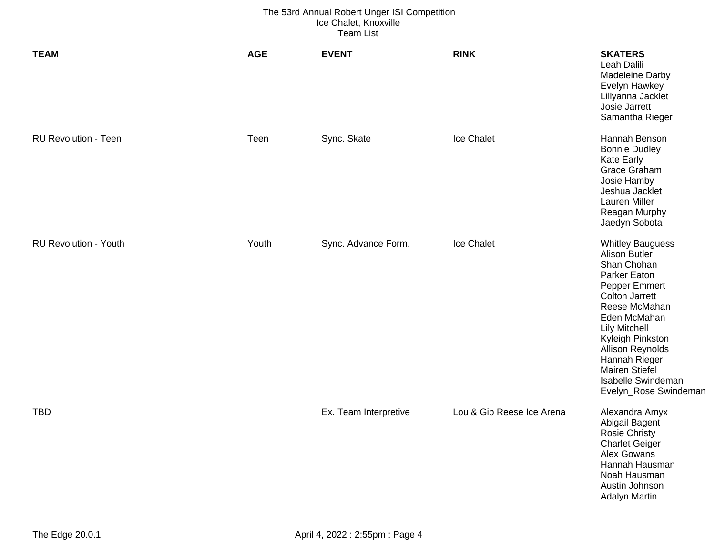| <b>TEAM</b>                  | <b>AGE</b> | <b>EVENT</b>          | <b>RINK</b>               | <b>SKATERS</b><br>Leah Dalili<br>Madeleine Darby<br>Evelyn Hawkey<br>Lillyanna Jacklet<br>Josie Jarrett<br>Samantha Rieger                                                                                                                                                                                         |
|------------------------------|------------|-----------------------|---------------------------|--------------------------------------------------------------------------------------------------------------------------------------------------------------------------------------------------------------------------------------------------------------------------------------------------------------------|
| <b>RU Revolution - Teen</b>  | Teen       | Sync. Skate           | Ice Chalet                | Hannah Benson<br><b>Bonnie Dudley</b><br><b>Kate Early</b><br>Grace Graham<br>Josie Hamby<br>Jeshua Jacklet<br>Lauren Miller<br>Reagan Murphy<br>Jaedyn Sobota                                                                                                                                                     |
| <b>RU Revolution - Youth</b> | Youth      | Sync. Advance Form.   | Ice Chalet                | <b>Whitley Bauguess</b><br><b>Alison Butler</b><br>Shan Chohan<br>Parker Eaton<br>Pepper Emmert<br><b>Colton Jarrett</b><br>Reese McMahan<br>Eden McMahan<br><b>Lily Mitchell</b><br>Kyleigh Pinkston<br>Allison Reynolds<br>Hannah Rieger<br><b>Mairen Stiefel</b><br>Isabelle Swindeman<br>Evelyn_Rose Swindeman |
| <b>TBD</b>                   |            | Ex. Team Interpretive | Lou & Gib Reese Ice Arena | Alexandra Amyx<br>Abigail Bagent<br><b>Rosie Christy</b><br><b>Charlet Geiger</b><br>Alex Gowans<br>Hannah Hausman<br>Noah Hausman<br>Austin Johnson<br><b>Adalyn Martin</b>                                                                                                                                       |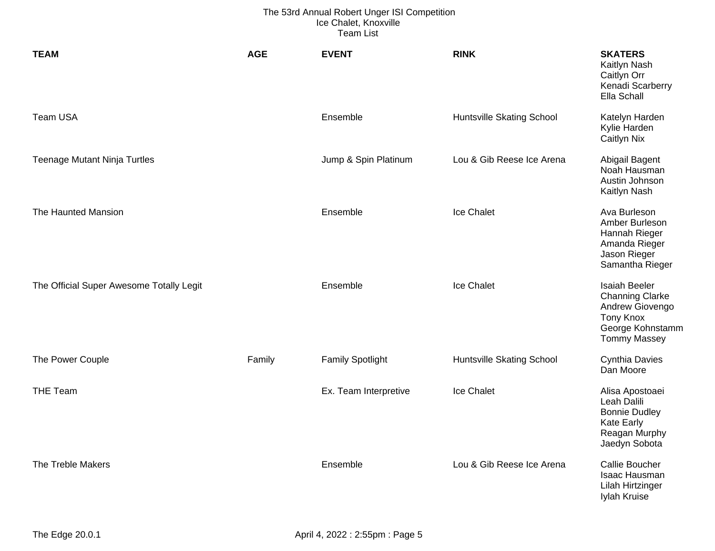| <b>TEAM</b>                              | <b>AGE</b> | <b>EVENT</b>            | <b>RINK</b>                      | <b>SKATERS</b><br>Kaitlyn Nash<br>Caitlyn Orr<br>Kenadi Scarberry<br>Ella Schall                                                 |
|------------------------------------------|------------|-------------------------|----------------------------------|----------------------------------------------------------------------------------------------------------------------------------|
| <b>Team USA</b>                          |            | Ensemble                | <b>Huntsville Skating School</b> | Katelyn Harden<br>Kylie Harden<br>Caitlyn Nix                                                                                    |
| <b>Teenage Mutant Ninja Turtles</b>      |            | Jump & Spin Platinum    | Lou & Gib Reese Ice Arena        | Abigail Bagent<br>Noah Hausman<br>Austin Johnson<br>Kaitlyn Nash                                                                 |
| The Haunted Mansion                      |            | Ensemble                | Ice Chalet                       | Ava Burleson<br>Amber Burleson<br>Hannah Rieger<br>Amanda Rieger<br>Jason Rieger<br>Samantha Rieger                              |
| The Official Super Awesome Totally Legit |            | Ensemble                | Ice Chalet                       | <b>Isaiah Beeler</b><br><b>Channing Clarke</b><br>Andrew Giovengo<br><b>Tony Knox</b><br>George Kohnstamm<br><b>Tommy Massey</b> |
| The Power Couple                         | Family     | <b>Family Spotlight</b> | <b>Huntsville Skating School</b> | <b>Cynthia Davies</b><br>Dan Moore                                                                                               |
| THE Team                                 |            | Ex. Team Interpretive   | Ice Chalet                       | Alisa Apostoaei<br>Leah Dalili<br><b>Bonnie Dudley</b><br><b>Kate Early</b><br>Reagan Murphy<br>Jaedyn Sobota                    |
| The Treble Makers                        |            | Ensemble                | Lou & Gib Reese Ice Arena        | <b>Callie Boucher</b><br>Isaac Hausman<br>Lilah Hirtzinger<br>Iylah Kruise                                                       |